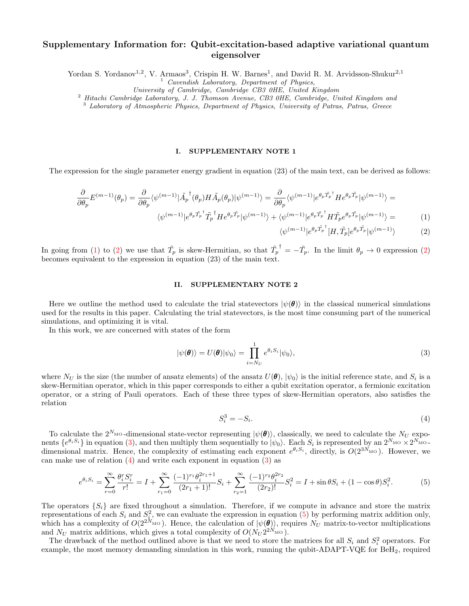# Supplementary Information for: Qubit-excitation-based adaptive variational quantum eigensolver

Yordan S. Yordanov<sup>1,2</sup>, V. Armaos<sup>3</sup>, Crispin H. W. Barnes<sup>1</sup>, and David R. M. Arvidsson-Shukur<sup>2,1</sup>

 $1$  Cavendish Laboratory, Department of Physics,

University of Cambridge, Cambridge CB3 0HE, United Kingdom

 $2$  Hitachi Cambridge Laboratory, J. J. Thomson Avenue, CB3 0HE, Cambridge, United Kingdom and

<sup>3</sup> Laboratory of Atmospheric Physics, Department of Physics, University of Patras, Patras, Greece

### I. SUPPLEMENTARY NOTE 1

The expression for the single parameter energy gradient in equation (23) of the main text, can be derived as follows:

$$
\frac{\partial}{\partial \theta_p} E^{(m-1)}(\theta_p) = \frac{\partial}{\partial \theta_p} \langle \psi^{(m-1)} | \tilde{A}_p^{\dagger}(\theta_p) H \tilde{A}_p(\theta_p) | \psi^{(m-1)} \rangle = \frac{\partial}{\partial \theta_p} \langle \psi^{(m-1)} | e^{\theta_p \tilde{T}_p^{\dagger}} H e^{\theta_p \tilde{T}_p} | \psi^{(m-1)} \rangle =
$$
  

$$
\langle \psi^{(m-1)} | e^{\theta_p \tilde{T}_p^{\dagger}} \tilde{T}_p^{\dagger} H e^{\theta_p \tilde{T}_p} | \psi^{(m-1)} \rangle + \langle \psi^{(m-1)} | e^{\theta_p \tilde{T}_p^{\dagger}} H \tilde{T}_p e^{\theta_p \tilde{T}_p} | \psi^{(m-1)} \rangle =
$$
(1)

<span id="page-0-1"></span><span id="page-0-0"></span>
$$
\langle \psi^{(m-1)} | e^{\theta_p \tilde{T}_p^{\dagger}} [H, \tilde{T}_p] e^{\theta_p \tilde{T}_p} | \psi^{(m-1)} \rangle \tag{2}
$$

In going from [\(1\)](#page-0-0) to [\(2\)](#page-0-1) we use that  $\tilde{T}_p$  is skew-Hermitian, so that  $\tilde{T}_p$ <sup>†</sup> =  $-\tilde{T}_p$ . In the limit  $\theta_p \to 0$  expression [\(2\)](#page-0-1) becomes equivalent to the expression in equation (23) of the main text.

#### II. SUPPLEMENTARY NOTE 2

Here we outline the method used to calculate the trial statevectors  $|\psi(\theta)\rangle$  in the classical numerical simulations used for the results in this paper. Calculating the trial statevectors, is the most time consuming part of the numerical simulations, and optimizing it is vital.

In this work, we are concerned with states of the form

<span id="page-0-2"></span>
$$
|\psi(\boldsymbol{\theta})\rangle = U(\boldsymbol{\theta})|\psi_0\rangle = \prod_{i=N_U}^{1} e^{\theta_i S_i}|\psi_0\rangle,
$$
\n(3)

where  $N_U$  is the size (the number of ansatz elements) of the ansatz  $U(\theta)$ ,  $|\psi_0\rangle$  is the initial reference state, and  $S_i$  is a skew-Hermitian operator, which in this paper corresponds to either a qubit excitation operator, a fermionic excitation operator, or a string of Pauli operators. Each of these three types of skew-Hermitian operators, also satisfies the relation

<span id="page-0-3"></span>
$$
S_i^3 = -S_i. \tag{4}
$$

To calculate the  $2^{N_{\text{MO}}}$ -dimensional state-vector representing  $|\psi(\theta)\rangle$ , classically, we need to calculate the  $N_U$  exponents  $\{e^{\theta_i S_i}\}\$  in equation [\(3\)](#page-0-2), and then multiply them sequentially to  $|\psi_0\rangle$ . Each  $S_i$  is represented by an  $2^{N_{\text{MO}}} \times 2^{N_{\text{MO}}}$ . dimensional matrix. Hence, the complexity of estimating each exponent  $e^{\theta_i S_i}$ , directly, is  $O(2^{3N_{\text{MO}}})$ . However, we can make use of relation [\(4\)](#page-0-3) and write each exponent in equation [\(3\)](#page-0-2) as

<span id="page-0-4"></span>
$$
e^{\theta_i S_i} = \sum_{r=0}^{\infty} \frac{\theta_i^r S_i^r}{r!} = I + \sum_{r_1=0}^{\infty} \frac{(-1)^{r_1} \theta_i^{2r_1+1}}{(2r_1+1)!} S_i + \sum_{r_2=1}^{\infty} \frac{(-1)^{r_2} \theta_i^{2r_2}}{(2r_2)!} S_i^2 = I + \sin \theta S_i + (1 - \cos \theta) S_i^2.
$$
 (5)

The operators  $\{S_i\}$  are fixed throughout a simulation. Therefore, if we compute in advance and store the matrix representations of each  $S_i$  and  $S_i^2$ , we can evaluate the expression in equation [\(5\)](#page-0-4) by performing matrix addition only, which has a complexity of  $O(2^{2N_{\text{MO}}})$ . Hence, the calculation of  $|\psi(\theta)\rangle$ , requires  $N_U$  matrix-to-vector multiplications and  $N_U$  matrix additions, which gives a total complexity of  $O(N_U 2^{2N_{\text{MO}}})$ .

The drawback of the method outlined above is that we need to store the matrices for all  $S_i$  and  $S_i^2$  operators. For example, the most memory demanding simulation in this work, running the qubit-ADAPT-VQE for  $BeH<sub>2</sub>$ , required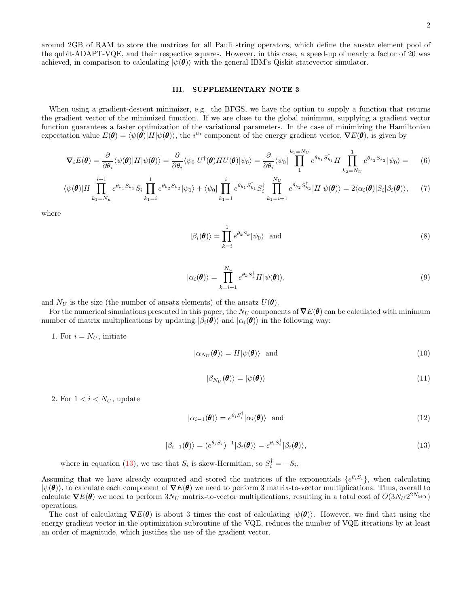around 2GB of RAM to store the matrices for all Pauli string operators, which define the ansatz element pool of the qubit-ADAPT-VQE, and their respective squares. However, in this case, a speed-up of nearly a factor of 20 was achieved, in comparison to calculating  $|\psi(\theta)\rangle$  with the general IBM's Qiskit statevector simulator.

### III. SUPPLEMENTARY NOTE 3

When using a gradient-descent minimizer, e.g. the BFGS, we have the option to supply a function that returns the gradient vector of the minimized function. If we are close to the global minimum, supplying a gradient vector function guarantees a faster optimization of the variational parameters. In the case of minimizing the Hamiltonian expectation value  $E(\theta) = \langle \psi(\theta) | H | \psi(\theta) \rangle$ , the i<sup>th</sup> component of the energy gradient vector,  $\nabla E(\theta)$ , is given by

$$
\nabla_i E(\boldsymbol{\theta}) = \frac{\partial}{\partial \theta_i} \langle \psi(\boldsymbol{\theta}) | H | \psi(\boldsymbol{\theta}) \rangle = \frac{\partial}{\partial \theta_i} \langle \psi_0 | U^{\dagger}(\boldsymbol{\theta}) H U(\boldsymbol{\theta}) | \psi_0 \rangle = \frac{\partial}{\partial \theta_i} \langle \psi_0 | \prod_1^{k_1 = N_U} e^{\theta_{k_1} S_{k_1}^{\dagger}} H \prod_{k_2 = N_U}^{1} e^{\theta_{k_2} S_{k_2}} | \psi_0 \rangle = \tag{6}
$$

$$
\langle \psi(\boldsymbol{\theta})|H\prod_{k_1=N_u}^{i+1}e^{\theta_{k_1}S_{k_1}}S_i\prod_{k_1=i}^1e^{\theta_{k_2}S_{k_2}}|\psi_0\rangle + \langle \psi_0|\prod_{k_1=1}^i e^{\theta_{k_1}S_{k_1}^{\dagger}}S_i^{\dagger}\prod_{k_1=i+1}^{N_U}e^{\theta_{k_2}S_{k_2}^{\dagger}}|H|\psi(\boldsymbol{\theta})\rangle = 2\langle \alpha_i(\boldsymbol{\theta})|S_i|\beta_i(\boldsymbol{\theta})\rangle, \tag{7}
$$

where

$$
|\beta_i(\boldsymbol{\theta})\rangle = \prod_{k=i}^1 e^{\theta_k S_k} |\psi_0\rangle \text{ and } (8)
$$

$$
|\alpha_i(\boldsymbol{\theta})\rangle = \prod_{k=i+1}^{N_u} e^{\theta_k S_k^{\dagger}} H |\psi(\boldsymbol{\theta})\rangle, \tag{9}
$$

and  $N_U$  is the size (the number of ansatz elements) of the ansatz  $U(\theta)$ .

For the numerical simulations presented in this paper, the  $N_U$  components of  $\nabla E(\theta)$  can be calculated with minimum number of matrix multiplications by updating  $|\beta_i(\boldsymbol{\theta})\rangle$  and  $|\alpha_i(\boldsymbol{\theta})\rangle$  in the following way:

1. For  $i = N_U$ , initiate

$$
|\alpha_{N_U}(\boldsymbol{\theta})\rangle = H|\psi(\boldsymbol{\theta})\rangle \text{ and } (10)
$$

$$
|\beta_{N_U}(\boldsymbol{\theta})\rangle = |\psi(\boldsymbol{\theta})\rangle \tag{11}
$$

2. For  $1 < i < N_U$ , update

$$
|\alpha_{i-1}(\boldsymbol{\theta})\rangle = e^{\theta_i S_i^{\dagger}} |\alpha_i(\boldsymbol{\theta})\rangle \text{ and } (12)
$$

<span id="page-1-0"></span>
$$
|\beta_{i-1}(\boldsymbol{\theta})\rangle = (e^{\theta_i S_i})^{-1} |\beta_i(\boldsymbol{\theta})\rangle = e^{\theta_i S_i^{\dagger}} |\beta_i(\boldsymbol{\theta})\rangle, \tag{13}
$$

where in equation [\(13\)](#page-1-0), we use that  $S_i$  is skew-Hermitian, so  $S_i^{\dagger} = -S_i$ .

Assuming that we have already computed and stored the matrices of the exponentials  $\{e^{\theta_i S_i}\}$ , when calculating  $|\psi(\theta)\rangle$ , to calculate each component of  $\nabla E(\theta)$  we need to perform 3 matrix-to-vector multiplications. Thus, overall to calculate  $\nabla E(\theta)$  we need to perform  $3N_U$  matrix-to-vector multiplications, resulting in a total cost of  $O(3N_U 2^{2N_{\text{MO}}})$ operations.

The cost of calculating  $\nabla E(\theta)$  is about 3 times the cost of calculating  $|\psi(\theta)\rangle$ . However, we find that using the energy gradient vector in the optimization subroutine of the VQE, reduces the number of VQE iterations by at least an order of magnitude, which justifies the use of the gradient vector.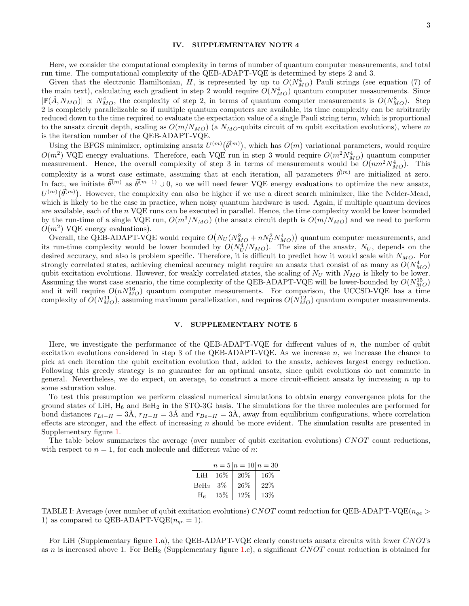#### IV. SUPPLEMENTARY NOTE 4

Here, we consider the computational complexity in terms of number of quantum computer measurements, and total run time. The computational complexity of the QEB-ADAPT-VQE is determined by steps 2 and 3.

Given that the electronic Hamiltonian, H, is represented by up to  $O(N_{MO}^4)$  Pauli strings (see equation (7) of the main text), calculating each gradient in step 2 would require  $O(N_{MO}^4)$  quantum computer measurements. Since  $|\mathbb{P}(\tilde{A}, N_{MO})| \propto N_{MO}^4$ , the complexity of step 2, in terms of quantum computer measurements is  $O(N_{MO}^8)$ . Step 2 is completely parallelizable so if multiple quantum computers are available, its time complexity can be arbitrarily reduced down to the time required to evaluate the expectation value of a single Pauli string term, which is proportional to the ansatz circuit depth, scaling as  $O(m/N_{MO})$  (a  $N_{MO}$ -qubits circuit of m qubit excitation evolutions), where m is the iteration number of the QEB-ADAPT-VQE.

Using the BFGS minimizer, optimizing ansatz  $U^{(m)}(\vec{\theta}^{(m)})$ , which has  $O(m)$  variational parameters, would require  $O(m^2)$  VQE energy evaluations. Therefore, each VQE run in step 3 would require  $O(m^2 N_{MO}^4)$  quantum computer measurement. Hence, the overall complexity of step 3 in terms of measurements would be  $O(nm^2N_{MO}^4)$ . This complexity is a worst case estimate, assuming that at each iteration, all parameters  $\vec{\theta}^{(m)}$  are initialized at zero. In fact, we initiate  $\vec{\theta}^{(m)}$  as  $\vec{\theta}^{(m-1)} \cup 0$ , so we will need fewer VQE energy evaluations to optimize the new ansatz,  $U^{(m)}(\vec{\theta}^{(m)})$ . However, the complexity can also be higher if we use a direct search minimizer, like the Nelder-Mead, which is likely to be the case in practice, when noisy quantum hardware is used. Again, if multiple quantum devices are available, each of the  $n$  VQE runs can be executed in parallel. Hence, the time complexity would be lower bounded by the run-time of a single VQE run,  $O(m^3/N_{MO})$  (the ansatz circuit depth is  $O(m/N_{MO})$  and we need to perform  $O(m^2)$  VQE energy evaluations).

Overall, the QEB-ADAPT-VQE would require  $O(N_U(N_{MO}^8 + nN_U^2N_{MO}^4))$  quantum computer measurements, and its run-time complexity would be lower bounded by  $O(N_U^4/N_{MO})$ . The size of the ansatz,  $N_U$ , depends on the desired accuracy, and also is problem specific. Therefore, it is difficult to predict how it would scale with  $N_{MO}$ . For strongly correlated states, achieving chemical accuracy might require an ansatz that consist of as many as  $O(N_{MO}^4)$ qubit excitation evolutions. However, for weakly correlated states, the scaling of  $N_U$  with  $N_{MO}$  is likely to be lower. Assuming the worst case scenario, the time complexity of the QEB-ADAPT-VQE will be lower-bounded by  $O(N_{MO}^{15})$ and it will require  $O(nN_{MO}^{16})$  quantum computer measurements. For comparison, the UCCSD-VQE has a time complexity of  $O(N_{MO}^{11})$ , assuming maximum parallelization, and requires  $O(N_{MO}^{12})$  quantum computer measurements.

## V. SUPPLEMENTARY NOTE 5

Here, we investigate the performance of the QEB-ADAPT-VQE for different values of  $n$ , the number of qubit excitation evolutions considered in step 3 of the QEB-ADAPT-VQE. As we increase n, we increase the chance to pick at each iteration the qubit excitation evolution that, added to the ansatz, achieves largest energy reduction. Following this greedy strategy is no guarantee for an optimal ansatz, since qubit evolutions do not commute in general. Nevertheless, we do expect, on average, to construct a more circuit-efficient ansatz by increasing  $n$  up to some saturation value.

To test this presumption we perform classical numerical simulations to obtain energy convergence plots for the ground states of LiH,  $H_6$  and BeH<sub>2</sub> in the STO-3G basis. The simulations for the three molecules are performed for bond distances  $r_{Li-H} = 3\text{\AA}$ ,  $r_{H-H} = 3\text{\AA}$  and  $r_{Be-H} = 3\text{\AA}$ , away from equilibrium configurations, where correlation effects are stronger, and the effect of increasing n should be more evident. The simulation results are presented in Supplementary figure [1.](#page-3-0)

The table below summarizes the average (over number of qubit excitation evolutions) CNOT count reductions, with respect to  $n = 1$ , for each molecule and different value of n:

|                  |      | $n = 5/n = 10/n = 30$ |        |
|------------------|------|-----------------------|--------|
| LiH              | 16%  | 20%                   | $16\%$ |
| BeH <sub>2</sub> | -3%  | 26%                   | 22%    |
| $_{\rm H_6}$     | 15\% | 12%                   | 13%    |

TABLE I: Average (over number of qubit excitation evolutions) CNOT count reduction for QEB-ADAPT-VQE( $n_{ge}$ ) 1) as compared to QEB-ADAPT-VQE( $n_{qe} = 1$ ).

For LiH (Supplementary figure [1.](#page-3-0)a), the QEB-ADAPT-VQE clearly constructs ansatz circuits with fewer CNOTs as n is increased above [1.](#page-3-0) For BeH<sub>2</sub> (Supplementary figure 1.c), a significant CNOT count reduction is obtained for